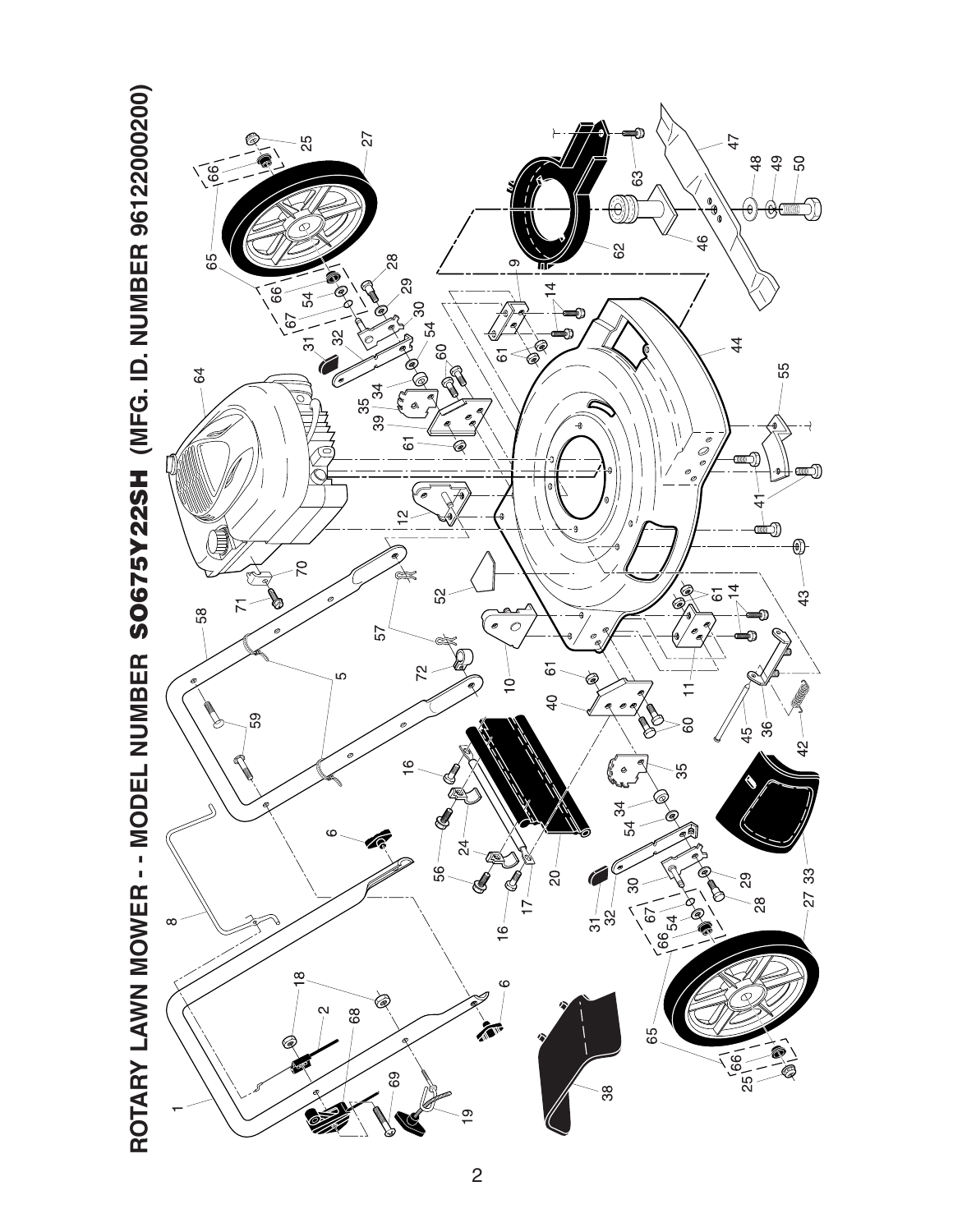

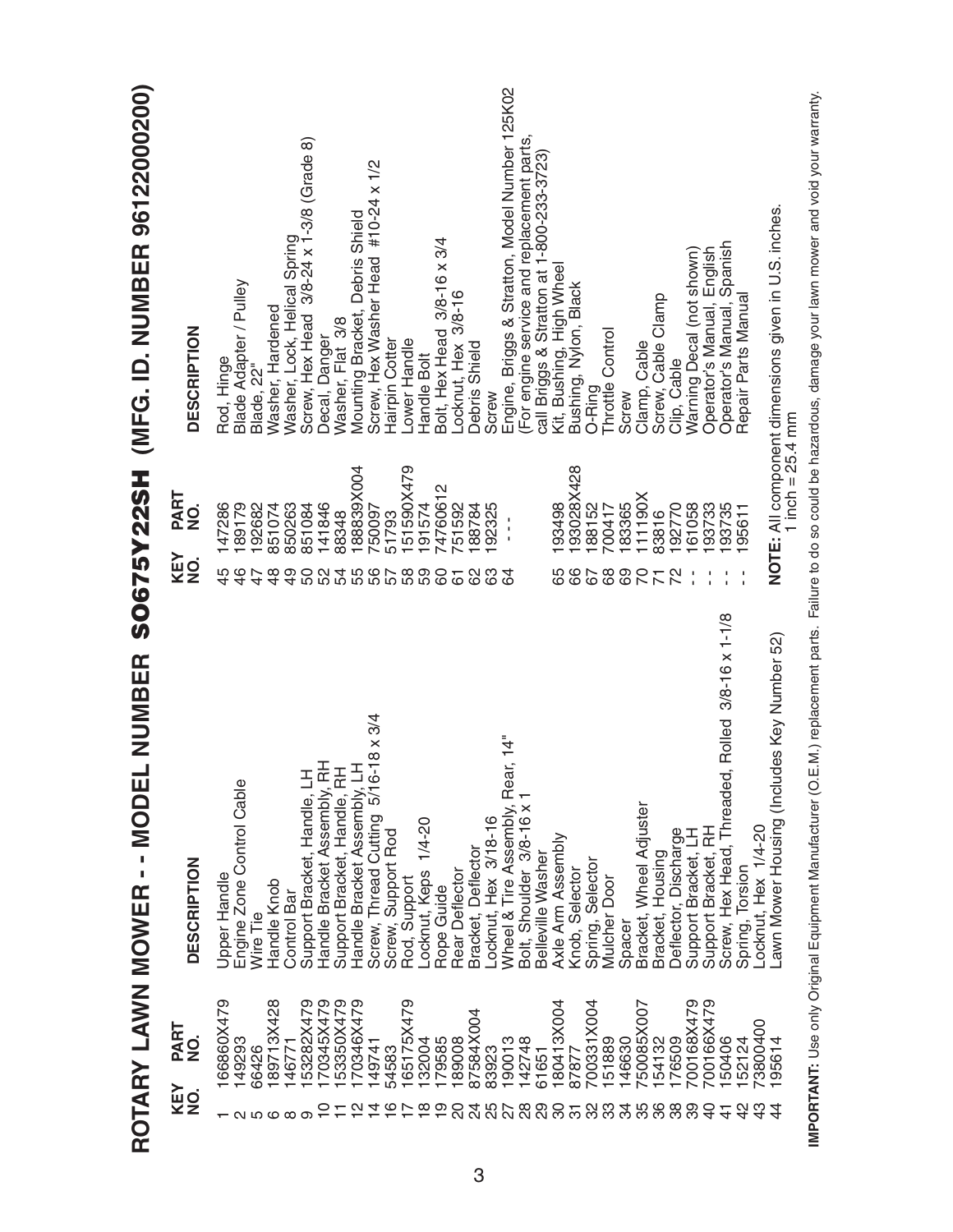|                   |                                                             | NUMBER<br>ROTARY LAWN MOWER - - MODEL                      |                 | SO675Y22SH                | (MFG. ID. NUMBER 96122000200)                                            |
|-------------------|-------------------------------------------------------------|------------------------------------------------------------|-----------------|---------------------------|--------------------------------------------------------------------------|
|                   | PART<br>$\frac{\dot{\mathsf{O}}}{\mathsf{Z}}$<br>KEY<br>NO. | <b>DESCRIPTION</b>                                         | KEY<br>NO.      | PART<br>$\dot{9}$         | <b>DESCRIPTION</b>                                                       |
|                   | 166860X479                                                  | Upper Handle                                               | 45              | 147286                    | Rod, Hinge                                                               |
| ៷៷៙៙៙             | 149293                                                      | Engine Zone Control Cable                                  | $\frac{6}{5}$   | 189179                    | Blade Adapter / Pulley                                                   |
|                   | 66426                                                       | Wire Tie                                                   | 47              | 192682                    | Blade, 22"                                                               |
|                   | 189713X428                                                  | Handle Knob                                                | $\frac{8}{3}$   | 851074                    | Washer, Hardened                                                         |
|                   | 146771                                                      | Control Bar                                                | $\frac{9}{4}$   | 850263                    | Washer, Lock, Helical Spring<br>Screw, Hex Head 3/8-24 x 1-3/8 (Grade 8) |
|                   | 153282X479                                                  | Support Bracket, Handle, LH                                | 50              | 851084                    |                                                                          |
|                   | 70345X479                                                   |                                                            | 52              | 141846                    | Decal, Danger                                                            |
|                   | 53350X479                                                   | Handle Bracket Assembly, RH<br>Support Bracket, Handle, RH | 54              | 88348                     | Washer, Flat 3/8                                                         |
|                   | 170346X479                                                  | Handle Bracket Assembly, LH                                |                 | 188839X004                | Mounting Bracket, Debris Shield                                          |
| 4                 | 149741                                                      | 8 x 3/4<br>Screw, Thread Cutting 5/16-1                    |                 | 750097                    | Screw, Hex Washer Head #10-24 x 1/2                                      |
|                   | 54583                                                       | Screw, Support Rod                                         |                 | 51793                     | Hairpin Cotter                                                           |
|                   | 165175X479                                                  | Rod, Support                                               |                 | 151590X479                | Lower Handle                                                             |
| œ                 | 132004                                                      | Locknut, Keps 1/4-20                                       | 59              | 191574                    | Handle Bolt                                                              |
| တ                 | 179585                                                      | Rope Guide                                                 | 8               | N<br>7476061              | Bolt, Hex Head 3/8-16 x 3/4                                              |
|                   | 189008                                                      | Rear Deflector                                             | 61              | 751592                    | Locknut, Hex 3/8-16                                                      |
|                   | 87584X004                                                   | Bracket, Deflector                                         | 89              | 188784                    | Debris Shield                                                            |
|                   | 83923                                                       |                                                            | යි              | 192325                    | Screw                                                                    |
| $\mathbf{\Omega}$ | 190013<br>142748                                            | 14"<br>Locknut, Hex 3/18-16<br>Wheel & Tire Assembly, Rear | $\mathfrak{D}$  | ٠<br>I,<br>$\blacksquare$ | Engine, Briggs & Stratton, Model Number 125K02                           |
| $\frac{8}{2}$     |                                                             | Bolt, Shoulder 3/8-16 x                                    |                 |                           | (For engine service and replacement parts,                               |
| 29                | 61651                                                       | Belleville<br>Washer                                       |                 |                           | call Briggs & Stratton at 1-800-233-3723)                                |
| င္က               | 180413X004                                                  | Axle Arm Assembly                                          | 65              | 193498                    | Kit, Bushing, High Wheel                                                 |
| ᢛ                 | 87877                                                       | Knob, Selector                                             | 67              | 193028X428                | Bushing, Nylon, Black                                                    |
| 32                | 700331X004                                                  | Spring, Selector                                           |                 | 188152                    | O-Ring                                                                   |
| ಜ ಇ               | 151889                                                      | <b>Mulcher Door</b>                                        | 89              | 700417                    | Throttle Control                                                         |
|                   | 146630                                                      | Spacer                                                     | 69              | 183365                    | Screw                                                                    |
| 35                | 50085X007                                                   | Bracket, Wheel Adjuster                                    | $\overline{70}$ | 111190X                   | Clamp, Cable                                                             |
|                   | 154132                                                      | Bracket, Housing                                           | $\overline{7}$  | 83816                     | Screw, Cable Clamp                                                       |
| 38                | 176509                                                      | Deflector, Discharge                                       | 22              | 192770                    | Clip, Cable                                                              |
| 39                | 700168X479                                                  | Support Bracket, LH                                        |                 | 161058                    | Warning Decal (not shown)                                                |
| 9                 | 00166X479                                                   | Support Bracket, RH                                        |                 | 193733                    | English<br>Operator's Manual,                                            |
| 4                 | 150406                                                      | Rolled 3/8-16 x 1-1/8<br>Screw, Hex Head, Threaded,        |                 | 193735                    | Operator's Manual, Spanish                                               |
|                   | 152124                                                      | Spring, Torsion                                            |                 | 95611                     | Repair Parts Manual                                                      |
|                   | '3800400                                                    | Locknut, Hex 1/4-20                                        |                 |                           |                                                                          |
|                   | 195614                                                      | awn Mower Housing (Includes Key Number 52)                 |                 | 1 inch = $25.4$ mm        | NOTE: All component dimensions given in U.S. inches.                     |
|                   |                                                             |                                                            |                 |                           |                                                                          |

IMPORTANT: Use only Original Equipment Manufacturer (O.E.M.) replacement parts. Failure to do so could be hazardous, damage your lawn mower and void your warranty. **IMPORTANT:** Use only Original Equipment Manufacturer (O.E.M.) replacement parts. Failure to do so could be hazardous, damage your lawn mower and void your warranty.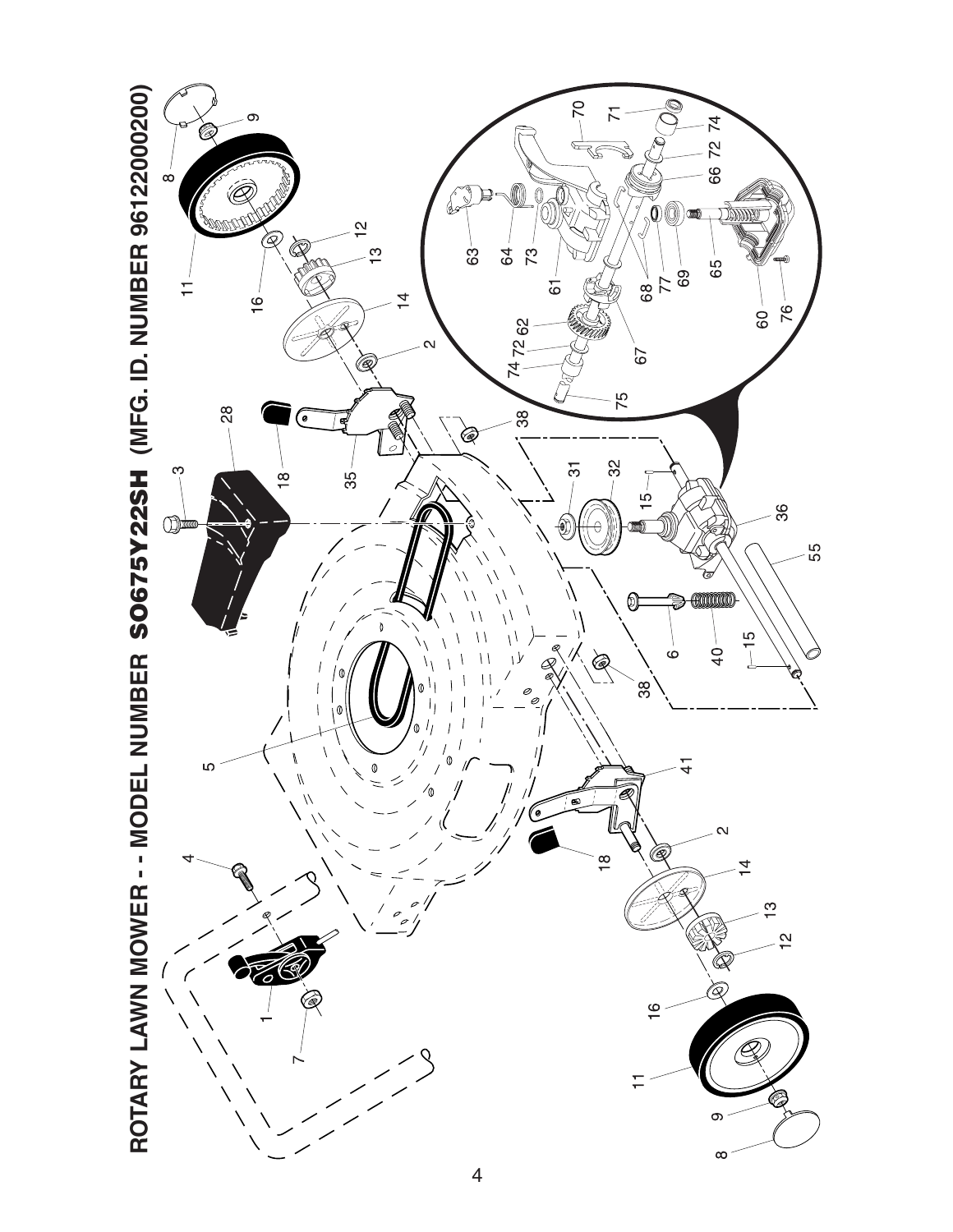